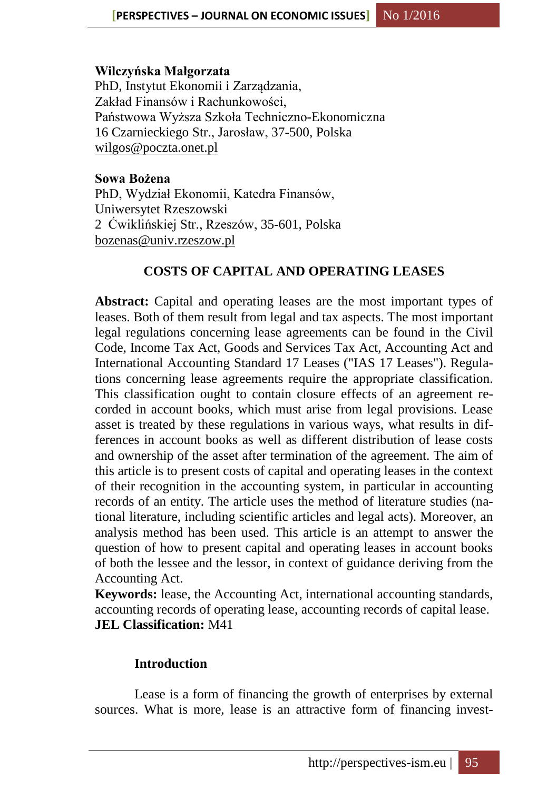#### **Wilczyńska Małgorzata**

PhD, Instytut Ekonomii i Zarządzania, Zakład Finansów i Rachunkowości, Państwowa Wyższa Szkoła Techniczno-Ekonomiczna 16 Czarnieckiego Str., Jarosław, 37-500, Polska [wilgos@poczta.onet.pl](mailto:wilgos@poczta.onet.pl)

**Sowa Bożena** PhD, Wydział Ekonomii, Katedra Finansów, Uniwersytet Rzeszowski 2 Ćwiklińskiej Str., Rzeszów, 35-601, Polska [bozenas@univ.rzeszow.pl](mailto:bozenas@univ.rzeszow.pl)

# **COSTS OF CAPITAL AND OPERATING LEASES**

**Abstract:** Capital and operating leases are the most important types of leases. Both of them result from legal and tax aspects. The most important legal regulations concerning lease agreements can be found in the Civil Code, Income Tax Act, Goods and Services Tax Act, Accounting Act and International Accounting Standard 17 Leases ("IAS 17 Leases"). Regulations concerning lease agreements require the appropriate classification. This classification ought to contain closure effects of an agreement recorded in account books, which must arise from legal provisions. Lease asset is treated by these regulations in various ways, what results in differences in account books as well as different distribution of lease costs and ownership of the asset after termination of the agreement. The aim of this article is to present costs of capital and operating leases in the context of their recognition in the accounting system, in particular in accounting records of an entity. The article uses the method of literature studies (national literature, including scientific articles and legal acts). Moreover, an analysis method has been used. This article is an attempt to answer the question of how to present capital and operating leases in account books of both the lessee and the lessor, in context of guidance deriving from the Accounting Act.

**Keywords:** lease, the Accounting Act, international accounting standards, accounting records of operating lease, accounting records of capital lease. **JEL Classification:** M41

### **Introduction**

Lease is a form of financing the growth of enterprises by external sources. What is more, lease is an attractive form of financing invest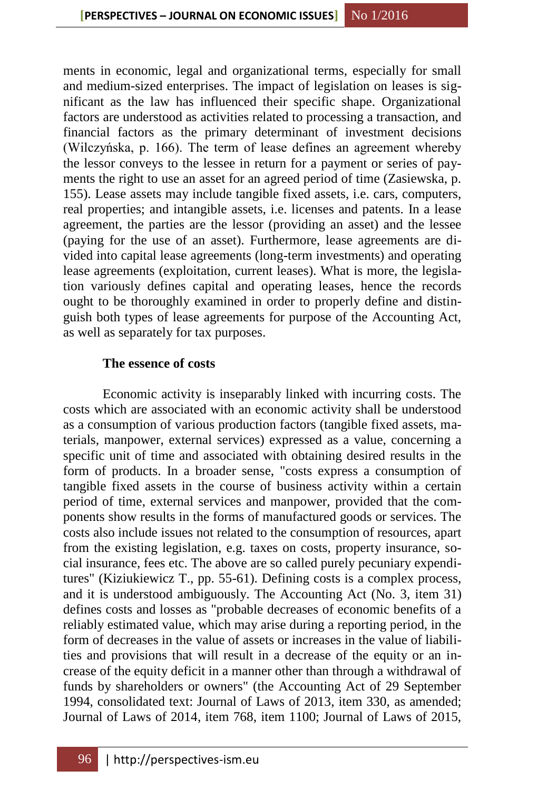ments in economic, legal and organizational terms, especially for small and medium-sized enterprises. The impact of legislation on leases is significant as the law has influenced their specific shape. Organizational factors are understood as activities related to processing a transaction, and financial factors as the primary determinant of investment decisions (Wilczyńska, p. 166). The term of lease defines an agreement whereby the lessor conveys to the lessee in return for a payment or series of payments the right to use an asset for an agreed period of time (Zasiewska, p. 155). Lease assets may include tangible fixed assets, i.e. cars, computers, real properties; and intangible assets, i.e. licenses and patents. In a lease agreement, the parties are the lessor (providing an asset) and the lessee (paying for the use of an asset). Furthermore, lease agreements are divided into capital lease agreements (long-term investments) and operating lease agreements (exploitation, current leases). What is more, the legislation variously defines capital and operating leases, hence the records ought to be thoroughly examined in order to properly define and distinguish both types of lease agreements for purpose of the Accounting Act, as well as separately for tax purposes.

### **The essence of costs**

Economic activity is inseparably linked with incurring costs. The costs which are associated with an economic activity shall be understood as a consumption of various production factors (tangible fixed assets, materials, manpower, external services) expressed as a value, concerning a specific unit of time and associated with obtaining desired results in the form of products. In a broader sense, "costs express a consumption of tangible fixed assets in the course of business activity within a certain period of time, external services and manpower, provided that the components show results in the forms of manufactured goods or services. The costs also include issues not related to the consumption of resources, apart from the existing legislation, e.g. taxes on costs, property insurance, social insurance, fees etc. The above are so called purely pecuniary expenditures" (Kiziukiewicz T., pp. 55-61). Defining costs is a complex process, and it is understood ambiguously. The Accounting Act (No. 3, item 31) defines costs and losses as "probable decreases of economic benefits of a reliably estimated value, which may arise during a reporting period, in the form of decreases in the value of assets or increases in the value of liabilities and provisions that will result in a decrease of the equity or an increase of the equity deficit in a manner other than through a withdrawal of funds by shareholders or owners" (the Accounting Act of 29 September 1994, consolidated text: Journal of Laws of 2013, item 330, as amended; Journal of Laws of 2014, item 768, item 1100; Journal of Laws of 2015,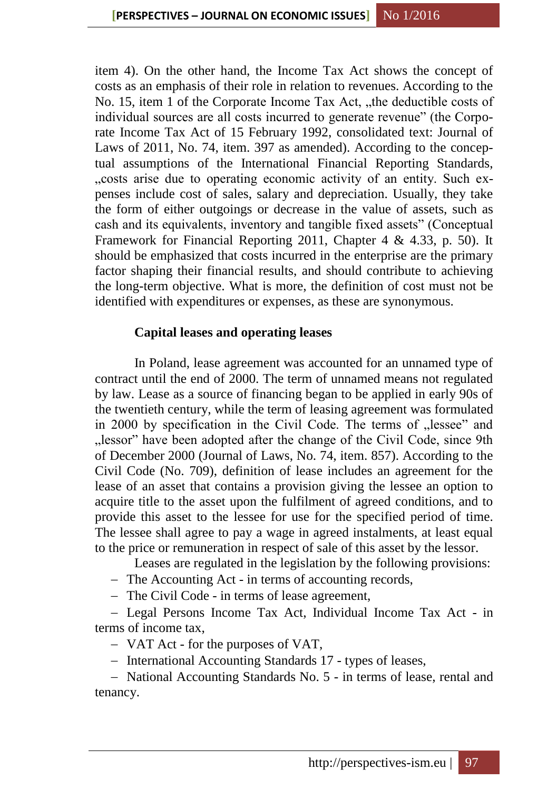item 4). On the other hand, the Income Tax Act shows the concept of costs as an emphasis of their role in relation to revenues. According to the No. 15, item 1 of the Corporate Income Tax Act, "the deductible costs of individual sources are all costs incurred to generate revenue" (the Corporate Income Tax Act of 15 February 1992, consolidated text: Journal of Laws of 2011, No. 74, item. 397 as amended). According to the conceptual assumptions of the International Financial Reporting Standards, "costs arise due to operating economic activity of an entity. Such expenses include cost of sales, salary and depreciation. Usually, they take the form of either outgoings or decrease in the value of assets, such as cash and its equivalents, inventory and tangible fixed assets" (Conceptual Framework for Financial Reporting 2011, Chapter 4 & 4.33, p. 50). It should be emphasized that costs incurred in the enterprise are the primary factor shaping their financial results, and should contribute to achieving the long-term objective. What is more, the definition of cost must not be identified with expenditures or expenses, as these are synonymous.

## **Capital leases and operating leases**

In Poland, lease agreement was accounted for an unnamed type of contract until the end of 2000. The term of unnamed means not regulated by law. Lease as a source of financing began to be applied in early 90s of the twentieth century, while the term of leasing agreement was formulated in 2000 by specification in the Civil Code. The terms of "lessee" and  $n$ , lessor" have been adopted after the change of the Civil Code, since 9th of December 2000 (Journal of Laws, No. 74, item. 857). According to the Civil Code (No. 709), definition of lease includes an agreement for the lease of an asset that contains a provision giving the lessee an option to acquire title to the asset upon the fulfilment of agreed conditions, and to provide this asset to the lessee for use for the specified period of time. The lessee shall agree to pay a wage in agreed instalments, at least equal to the price or remuneration in respect of sale of this asset by the lessor.

Leases are regulated in the legislation by the following provisions:

- The Accounting Act in terms of accounting records,
- The Civil Code in terms of lease agreement,

 Legal Persons Income Tax Act, Individual Income Tax Act - in terms of income tax,

VAT Act - for the purposes of VAT,

- International Accounting Standards 17 - types of leases,

- National Accounting Standards No. 5 - in terms of lease, rental and tenancy.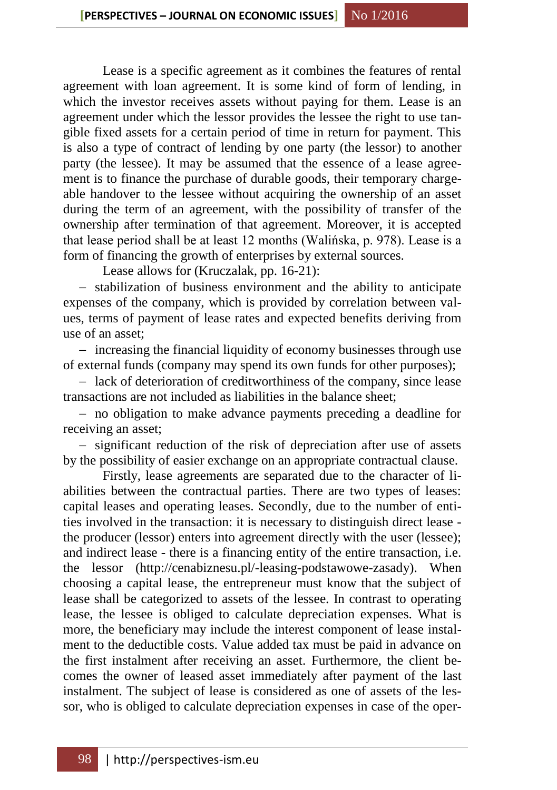Lease is a specific agreement as it combines the features of rental agreement with loan agreement. It is some kind of form of lending, in which the investor receives assets without paying for them. Lease is an agreement under which the lessor provides the lessee the right to use tangible fixed assets for a certain period of time in return for payment. This is also a type of contract of lending by one party (the lessor) to another party (the lessee). It may be assumed that the essence of a lease agreement is to finance the purchase of durable goods, their temporary chargeable handover to the lessee without acquiring the ownership of an asset during the term of an agreement, with the possibility of transfer of the ownership after termination of that agreement. Moreover, it is accepted that lease period shall be at least 12 months (Walińska, p. 978). Lease is a form of financing the growth of enterprises by external sources.

Lease allows for (Kruczalak, pp. 16-21):

- stabilization of business environment and the ability to anticipate expenses of the company, which is provided by correlation between values, terms of payment of lease rates and expected benefits deriving from use of an asset;

- increasing the financial liquidity of economy businesses through use of external funds (company may spend its own funds for other purposes);

- lack of deterioration of creditworthiness of the company, since lease transactions are not included as liabilities in the balance sheet;

 no obligation to make advance payments preceding a deadline for receiving an asset;

- significant reduction of the risk of depreciation after use of assets by the possibility of easier exchange on an appropriate contractual clause.

Firstly, lease agreements are separated due to the character of liabilities between the contractual parties. There are two types of leases: capital leases and operating leases. Secondly, due to the number of entities involved in the transaction: it is necessary to distinguish direct lease the producer (lessor) enters into agreement directly with the user (lessee); and indirect lease - there is a financing entity of the entire transaction, i.e. the lessor (http://cenabiznesu.pl/-leasing-podstawowe-zasady). When choosing a capital lease, the entrepreneur must know that the subject of lease shall be categorized to assets of the lessee. In contrast to operating lease, the lessee is obliged to calculate depreciation expenses. What is more, the beneficiary may include the interest component of lease instalment to the deductible costs. Value added tax must be paid in advance on the first instalment after receiving an asset. Furthermore, the client becomes the owner of leased asset immediately after payment of the last instalment. The subject of lease is considered as one of assets of the lessor, who is obliged to calculate depreciation expenses in case of the oper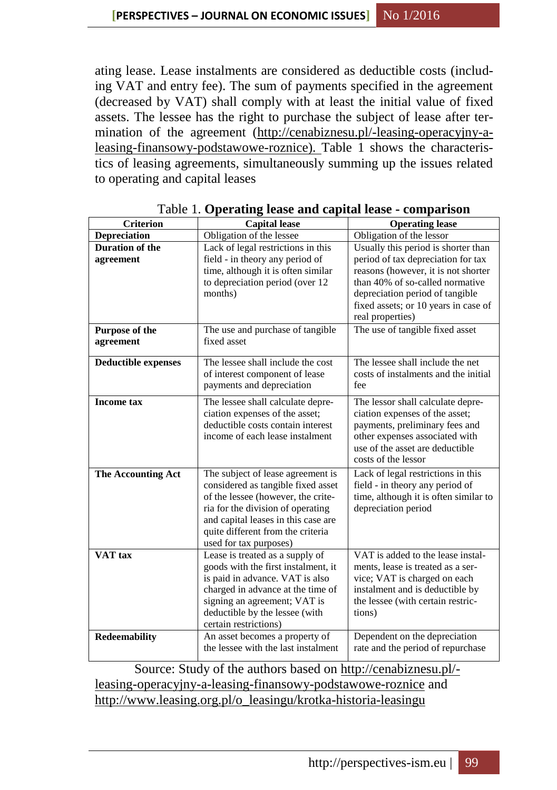ating lease. Lease instalments are considered as deductible costs (including VAT and entry fee). The sum of payments specified in the agreement (decreased by VAT) shall comply with at least the initial value of fixed assets. The lessee has the right to purchase the subject of lease after ter-mination of the agreement [\(http://cenabiznesu.pl/-leasing-operacyjny-a](http://cenabiznesu.pl/-leasing-operacyjny-a-leasing-finansowy-podstawowe-roznice)[leasing-finansowy-podstawowe-roznice\)](http://cenabiznesu.pl/-leasing-operacyjny-a-leasing-finansowy-podstawowe-roznice). Table 1 shows the characteristics of leasing agreements, simultaneously summing up the issues related to operating and capital leases

| <b>Criterion</b>                    | <b>Capital lease</b>                                                                                                                                                                                                                                     | <b>Operating lease</b>                                                                                                                                                                                                                             |
|-------------------------------------|----------------------------------------------------------------------------------------------------------------------------------------------------------------------------------------------------------------------------------------------------------|----------------------------------------------------------------------------------------------------------------------------------------------------------------------------------------------------------------------------------------------------|
| <b>Depreciation</b>                 | Obligation of the lessee                                                                                                                                                                                                                                 | Obligation of the lessor                                                                                                                                                                                                                           |
| <b>Duration of the</b><br>agreement | Lack of legal restrictions in this<br>field - in theory any period of<br>time, although it is often similar<br>to depreciation period (over 12<br>months)                                                                                                | Usually this period is shorter than<br>period of tax depreciation for tax<br>reasons (however, it is not shorter<br>than 40% of so-called normative<br>depreciation period of tangible<br>fixed assets; or 10 years in case of<br>real properties) |
| Purpose of the<br>agreement         | The use and purchase of tangible<br>fixed asset                                                                                                                                                                                                          | The use of tangible fixed asset                                                                                                                                                                                                                    |
| <b>Deductible expenses</b>          | The lessee shall include the cost<br>of interest component of lease<br>payments and depreciation                                                                                                                                                         | The lessee shall include the net<br>costs of instalments and the initial<br>fee                                                                                                                                                                    |
| <b>Income tax</b>                   | The lessee shall calculate depre-<br>ciation expenses of the asset;<br>deductible costs contain interest<br>income of each lease instalment                                                                                                              | The lessor shall calculate depre-<br>ciation expenses of the asset;<br>payments, preliminary fees and<br>other expenses associated with<br>use of the asset are deductible<br>costs of the lessor                                                  |
| <b>The Accounting Act</b>           | The subject of lease agreement is<br>considered as tangible fixed asset<br>of the lessee (however, the crite-<br>ria for the division of operating<br>and capital leases in this case are<br>quite different from the criteria<br>used for tax purposes) | Lack of legal restrictions in this<br>field - in theory any period of<br>time, although it is often similar to<br>depreciation period                                                                                                              |
| VAT tax                             | Lease is treated as a supply of<br>goods with the first instalment, it<br>is paid in advance. VAT is also<br>charged in advance at the time of<br>signing an agreement; VAT is<br>deductible by the lessee (with<br>certain restrictions)                | VAT is added to the lease instal-<br>ments, lease is treated as a ser-<br>vice; VAT is charged on each<br>instalment and is deductible by<br>the lessee (with certain restric-<br>tions)                                                           |
| <b>Redeemability</b>                | An asset becomes a property of<br>the lessee with the last instalment                                                                                                                                                                                    | Dependent on the depreciation<br>rate and the period of repurchase                                                                                                                                                                                 |

Table 1. **Operating lease and capital lease - comparison**

Source: Study of the authors based on [http://cenabiznesu.pl/](http://cenabiznesu.pl/-leasing-operacyjny-a-leasing-finansowy-podstawowe-roznice) [leasing-operacyjny-a-leasing-finansowy-podstawowe-roznice](http://cenabiznesu.pl/-leasing-operacyjny-a-leasing-finansowy-podstawowe-roznice) and [http://www.leasing.org.pl/o\\_leasingu/krotka-historia-leasingu](http://www.leasing.org.pl/o_leasingu/krotka-historia-leasingu)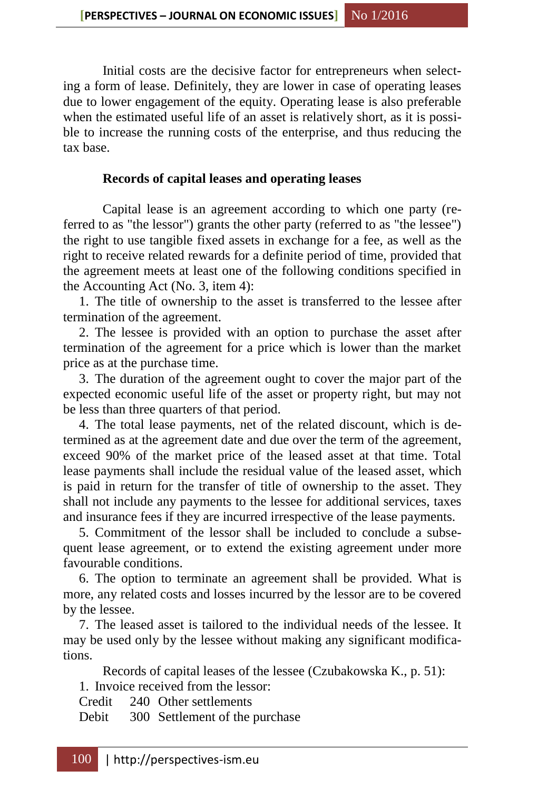Initial costs are the decisive factor for entrepreneurs when selecting a form of lease. Definitely, they are lower in case of operating leases due to lower engagement of the equity. Operating lease is also preferable when the estimated useful life of an asset is relatively short, as it is possible to increase the running costs of the enterprise, and thus reducing the tax base.

## **Records of capital leases and operating leases**

Capital lease is an agreement according to which one party (referred to as "the lessor") grants the other party (referred to as "the lessee") the right to use tangible fixed assets in exchange for a fee, as well as the right to receive related rewards for a definite period of time, provided that the agreement meets at least one of the following conditions specified in the Accounting Act (No. 3, item 4):

1. The title of ownership to the asset is transferred to the lessee after termination of the agreement.

2. The lessee is provided with an option to purchase the asset after termination of the agreement for a price which is lower than the market price as at the purchase time.

3. The duration of the agreement ought to cover the major part of the expected economic useful life of the asset or property right, but may not be less than three quarters of that period.

4. The total lease payments, net of the related discount, which is determined as at the agreement date and due over the term of the agreement, exceed 90% of the market price of the leased asset at that time. Total lease payments shall include the residual value of the leased asset, which is paid in return for the transfer of title of ownership to the asset. They shall not include any payments to the lessee for additional services, taxes and insurance fees if they are incurred irrespective of the lease payments.

5. Commitment of the lessor shall be included to conclude a subsequent lease agreement, or to extend the existing agreement under more favourable conditions.

6. The option to terminate an agreement shall be provided. What is more, any related costs and losses incurred by the lessor are to be covered by the lessee.

7. The leased asset is tailored to the individual needs of the lessee. It may be used only by the lessee without making any significant modifications.

Records of capital leases of the lessee (Czubakowska K., p. 51):

1. Invoice received from the lessor:

Credit 240 Other settlements

Debit 300 Settlement of the purchase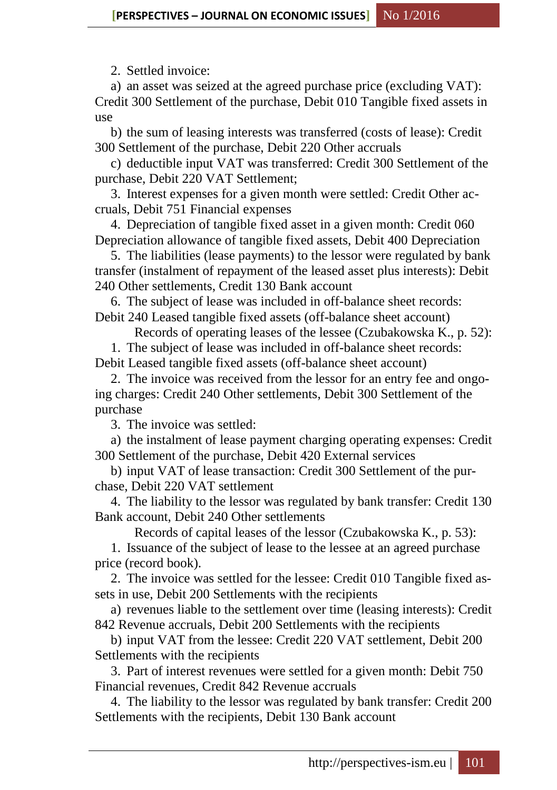2. Settled invoice:

a) an asset was seized at the agreed purchase price (excluding VAT): Credit 300 Settlement of the purchase, Debit 010 Tangible fixed assets in use

b) the sum of leasing interests was transferred (costs of lease): Credit 300 Settlement of the purchase, Debit 220 Other accruals

c) deductible input VAT was transferred: Credit 300 Settlement of the purchase, Debit 220 VAT Settlement;

3. Interest expenses for a given month were settled: Credit Other accruals, Debit 751 Financial expenses

4. Depreciation of tangible fixed asset in a given month: Credit 060 Depreciation allowance of tangible fixed assets, Debit 400 Depreciation

5. The liabilities (lease payments) to the lessor were regulated by bank transfer (instalment of repayment of the leased asset plus interests): Debit 240 Other settlements, Credit 130 Bank account

6. The subject of lease was included in off-balance sheet records: Debit 240 Leased tangible fixed assets (off-balance sheet account)

Records of operating leases of the lessee (Czubakowska K., p. 52):

1. The subject of lease was included in off-balance sheet records: Debit Leased tangible fixed assets (off-balance sheet account)

2. The invoice was received from the lessor for an entry fee and ongoing charges: Credit 240 Other settlements, Debit 300 Settlement of the purchase

3. The invoice was settled:

a) the instalment of lease payment charging operating expenses: Credit 300 Settlement of the purchase, Debit 420 External services

b) input VAT of lease transaction: Credit 300 Settlement of the purchase, Debit 220 VAT settlement

4. The liability to the lessor was regulated by bank transfer: Credit 130 Bank account, Debit 240 Other settlements

Records of capital leases of the lessor (Czubakowska K., p. 53):

1. Issuance of the subject of lease to the lessee at an agreed purchase price (record book).

2. The invoice was settled for the lessee: Credit 010 Tangible fixed assets in use, Debit 200 Settlements with the recipients

a) revenues liable to the settlement over time (leasing interests): Credit 842 Revenue accruals, Debit 200 Settlements with the recipients

b) input VAT from the lessee: Credit 220 VAT settlement, Debit 200 Settlements with the recipients

3. Part of interest revenues were settled for a given month: Debit 750 Financial revenues, Credit 842 Revenue accruals

4. The liability to the lessor was regulated by bank transfer: Credit 200 Settlements with the recipients, Debit 130 Bank account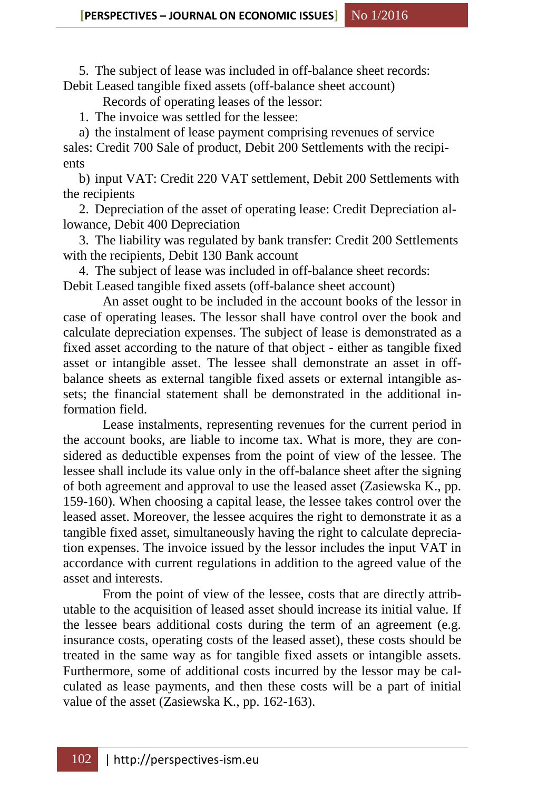5. The subject of lease was included in off-balance sheet records: Debit Leased tangible fixed assets (off-balance sheet account)

Records of operating leases of the lessor:

1. The invoice was settled for the lessee:

a) the instalment of lease payment comprising revenues of service sales: Credit 700 Sale of product, Debit 200 Settlements with the recipients

b) input VAT: Credit 220 VAT settlement, Debit 200 Settlements with the recipients

2. Depreciation of the asset of operating lease: Credit Depreciation allowance, Debit 400 Depreciation

3. The liability was regulated by bank transfer: Credit 200 Settlements with the recipients, Debit 130 Bank account

4. The subject of lease was included in off-balance sheet records: Debit Leased tangible fixed assets (off-balance sheet account)

An asset ought to be included in the account books of the lessor in case of operating leases. The lessor shall have control over the book and calculate depreciation expenses. The subject of lease is demonstrated as a fixed asset according to the nature of that object - either as tangible fixed asset or intangible asset. The lessee shall demonstrate an asset in offbalance sheets as external tangible fixed assets or external intangible assets; the financial statement shall be demonstrated in the additional information field.

Lease instalments, representing revenues for the current period in the account books, are liable to income tax. What is more, they are considered as deductible expenses from the point of view of the lessee. The lessee shall include its value only in the off-balance sheet after the signing of both agreement and approval to use the leased asset (Zasiewska K., pp. 159-160). When choosing a capital lease, the lessee takes control over the leased asset. Moreover, the lessee acquires the right to demonstrate it as a tangible fixed asset, simultaneously having the right to calculate depreciation expenses. The invoice issued by the lessor includes the input VAT in accordance with current regulations in addition to the agreed value of the asset and interests.

From the point of view of the lessee, costs that are directly attributable to the acquisition of leased asset should increase its initial value. If the lessee bears additional costs during the term of an agreement (e.g. insurance costs, operating costs of the leased asset), these costs should be treated in the same way as for tangible fixed assets or intangible assets. Furthermore, some of additional costs incurred by the lessor may be calculated as lease payments, and then these costs will be a part of initial value of the asset (Zasiewska K., pp. 162-163).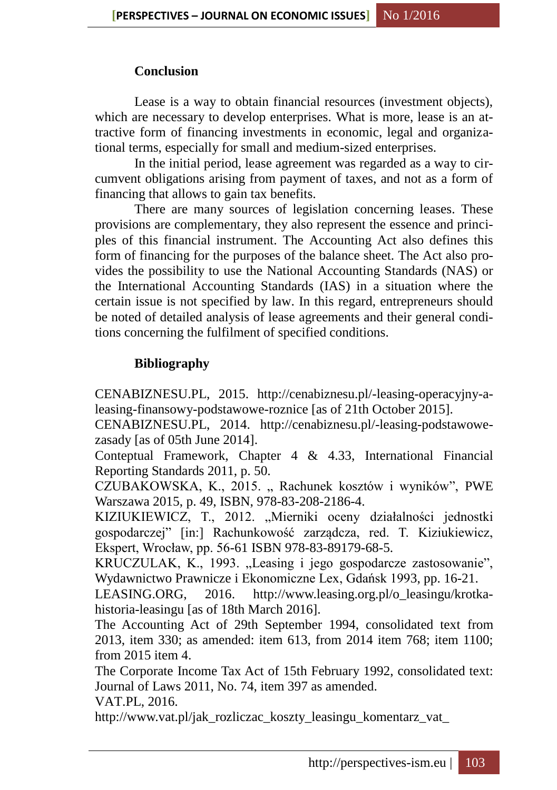# **Conclusion**

Lease is a way to obtain financial resources (investment objects), which are necessary to develop enterprises. What is more, lease is an attractive form of financing investments in economic, legal and organizational terms, especially for small and medium-sized enterprises.

In the initial period, lease agreement was regarded as a way to circumvent obligations arising from payment of taxes, and not as a form of financing that allows to gain tax benefits.

There are many sources of legislation concerning leases. These provisions are complementary, they also represent the essence and principles of this financial instrument. The Accounting Act also defines this form of financing for the purposes of the balance sheet. The Act also provides the possibility to use the National Accounting Standards (NAS) or the International Accounting Standards (IAS) in a situation where the certain issue is not specified by law. In this regard, entrepreneurs should be noted of detailed analysis of lease agreements and their general conditions concerning the fulfilment of specified conditions.

# **Bibliography**

CENABIZNESU.PL, 2015. [http://cenabiznesu.pl/-leasing-operacyjny-a](http://cenabiznesu.pl/-leasing-operacyjny-a-leasing-finansowy-podstawowe-roznice)[leasing-finansowy-podstawowe-roznice](http://cenabiznesu.pl/-leasing-operacyjny-a-leasing-finansowy-podstawowe-roznice) [as of 21th October 2015].

CENABIZNESU.PL, 2014. [http://cenabiznesu.pl/-leasing-podstawowe](http://cenabiznesu.pl/-leasing-podstawowe-zasady)[zasady](http://cenabiznesu.pl/-leasing-podstawowe-zasady) [as of 05th June 2014].

Conteptual Framework, Chapter 4 & 4.33, International Financial Reporting Standards 2011, p. 50.

CZUBAKOWSKA, K., 2015. "Rachunek kosztów i wyników", PWE Warszawa 2015, p. 49, ISBN, 978-83-208-2186-4.

KIZIUKIEWICZ, T., 2012. "Mierniki oceny działalności jednostki gospodarczej" [in:] Rachunkowość zarządcza, red. T. Kiziukiewicz, Ekspert, Wrocław, pp. 56-61 ISBN 978-83-89179-68-5.

KRUCZULAK, K., 1993. "Leasing i jego gospodarcze zastosowanie", Wydawnictwo Prawnicze i Ekonomiczne Lex, Gdańsk 1993, pp. 16-21.

LEASING.ORG, 2016. [http://www.leasing.org.pl/o\\_leasingu/krotka](http://www.leasing.org.pl/o_leasingu/krotka-historia-leasingu)[historia-leasingu](http://www.leasing.org.pl/o_leasingu/krotka-historia-leasingu) [as of 18th March 2016].

The Accounting Act of 29th September 1994, consolidated text from 2013, item 330; as amended: item 613, from 2014 item 768; item 1100; from 2015 item 4.

The Corporate Income Tax Act of 15th February 1992, consolidated text: Journal of Laws 2011, No. 74, item 397 as amended.

VAT.PL, 2016.

[http://www.vat.pl/jak\\_rozliczac\\_koszty\\_leasingu\\_komentarz\\_vat\\_](http://www.vat.pl/jak_rozliczac_koszty_leasingu_komentarz_vat_%20interpretacje_2197.php)